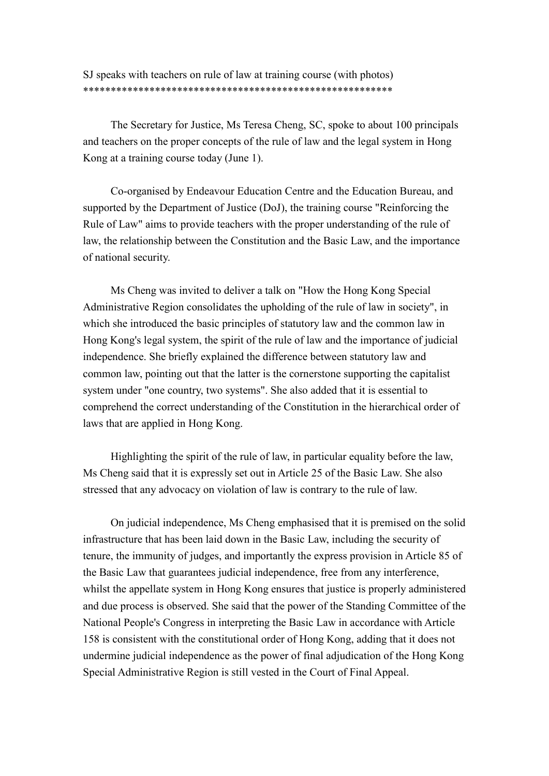SJ speaks with teachers on rule of law at training course (with photos) \*\*\*\*\*\*\*\*\*\*\*\*\*\*\*\*\*\*\*\*\*\*\*\*\*\*\*\*\*\*\*\*\*\*\*\*\*\*\*\*\*\*\*\*\*\*\*\*\*\*\*\*\*\*\*\*

 The Secretary for Justice, Ms Teresa Cheng, SC, spoke to about 100 principals and teachers on the proper concepts of the rule of law and the legal system in Hong Kong at a training course today (June 1).

 Co-organised by Endeavour Education Centre and the Education Bureau, and supported by the Department of Justice (DoJ), the training course "Reinforcing the Rule of Law" aims to provide teachers with the proper understanding of the rule of law, the relationship between the Constitution and the Basic Law, and the importance of national security.

 Ms Cheng was invited to deliver a talk on "How the Hong Kong Special Administrative Region consolidates the upholding of the rule of law in society", in which she introduced the basic principles of statutory law and the common law in Hong Kong's legal system, the spirit of the rule of law and the importance of judicial independence. She briefly explained the difference between statutory law and common law, pointing out that the latter is the cornerstone supporting the capitalist system under "one country, two systems". She also added that it is essential to comprehend the correct understanding of the Constitution in the hierarchical order of laws that are applied in Hong Kong.

 Highlighting the spirit of the rule of law, in particular equality before the law, Ms Cheng said that it is expressly set out in Article 25 of the Basic Law. She also stressed that any advocacy on violation of law is contrary to the rule of law.

 On judicial independence, Ms Cheng emphasised that it is premised on the solid infrastructure that has been laid down in the Basic Law, including the security of tenure, the immunity of judges, and importantly the express provision in Article 85 of the Basic Law that guarantees judicial independence, free from any interference, whilst the appellate system in Hong Kong ensures that justice is properly administered and due process is observed. She said that the power of the Standing Committee of the National People's Congress in interpreting the Basic Law in accordance with Article 158 is consistent with the constitutional order of Hong Kong, adding that it does not undermine judicial independence as the power of final adjudication of the Hong Kong Special Administrative Region is still vested in the Court of Final Appeal.